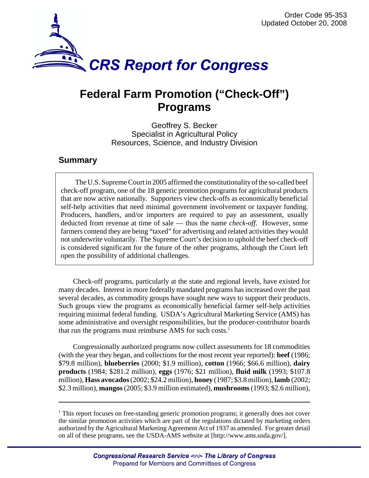

# **Federal Farm Promotion ("Check-Off") Programs**

Geoffrey S. Becker Specialist in Agricultural Policy Resources, Science, and Industry Division

## **Summary**

The U.S. Supreme Court in 2005 affirmed the constitutionality of the so-called beef check-off program, one of the 18 generic promotion programs for agricultural products that are now active nationally. Supporters view check-offs as economically beneficial self-help activities that need minimal government involvement or taxpayer funding. Producers, handlers, and/or importers are required to pay an assessment, usually deducted from revenue at time of sale — thus the name *check-off*. However, some farmers contend they are being "taxed" for advertising and related activities they would not underwrite voluntarily. The Supreme Court's decision to uphold the beef check-off is considered significant for the future of the other programs, although the Court left open the possibility of additional challenges.

Check-off programs, particularly at the state and regional levels, have existed for many decades. Interest in more federally mandated programs has increased over the past several decades, as commodity groups have sought new ways to support their products. Such groups view the programs as economically beneficial farmer self-help activities requiring minimal federal funding. USDA's Agricultural Marketing Service (AMS) has some administrative and oversight responsibilities, but the producer-contributor boards that run the programs must reimburse AMS for such costs.<sup>1</sup>

Congressionally authorized programs now collect assessments for 18 commodities (with the year they began, and collections for the most recent year reported): **beef** (1986; \$79.8 million), **blueberries** (2000; \$1.9 million), **cotton** (1966; \$66.6 million), **dairy products** (1984; \$281.2 million), **eggs** (1976; \$21 million), **fluid milk** (1993; \$107.8 million), **Hass avocados** (2002; \$24.2 million), **honey** (1987; \$3.8 million), **lamb** (2002; \$2.3 million), **mangos** (2005; \$3.9 million estimated), **mushrooms** (1993; \$2.6 million),

<sup>&</sup>lt;sup>1</sup> This report focuses on free-standing generic promotion programs; it generally does not cover the similar promotion activities which are part of the regulations dictated by marketing orders authorized by the Agricultural Marketing Agreement Act of 1937 as amended. For greater detail on all of these programs, see the USDA-AMS website at [http://www.ams.usda.gov/].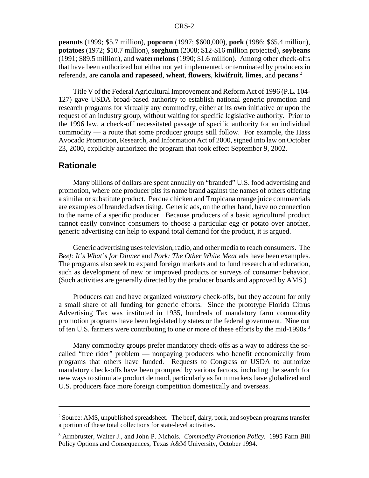**peanuts** (1999; \$5.7 million), **popcorn** (1997; \$600,000), **pork** (1986; \$65.4 million), **potatoes** (1972; \$10.7 million), **sorghum** (2008; \$12-\$16 million projected), **soybeans** (1991; \$89.5 million), and **watermelons** (1990; \$1.6 million). Among other check-offs that have been authorized but either not yet implemented, or terminated by producers in referenda, are **canola and rapeseed**, **wheat**, **flowers**, **kiwifruit, limes**, and **pecans**. 2

Title V of the Federal Agricultural Improvement and Reform Act of 1996 (P.L. 104- 127) gave USDA broad-based authority to establish national generic promotion and research programs for virtually any commodity, either at its own initiative or upon the request of an industry group, without waiting for specific legislative authority. Prior to the 1996 law, a check-off necessitated passage of specific authority for an individual commodity — a route that some producer groups still follow. For example, the Hass Avocado Promotion, Research, and Information Act of 2000, signed into law on October 23, 2000, explicitly authorized the program that took effect September 9, 2002.

#### **Rationale**

Many billions of dollars are spent annually on "branded" U.S. food advertising and promotion, where one producer pits its name brand against the names of others offering a similar or substitute product. Perdue chicken and Tropicana orange juice commercials are examples of branded advertising. Generic ads, on the other hand, have no connection to the name of a specific producer. Because producers of a basic agricultural product cannot easily convince consumers to choose a particular egg or potato over another, generic advertising can help to expand total demand for the product, it is argued.

Generic advertising uses television, radio, and other media to reach consumers. The *Beef: It's What's for Dinner* and *Pork: The Other White Meat* ads have been examples. The programs also seek to expand foreign markets and to fund research and education, such as development of new or improved products or surveys of consumer behavior. (Such activities are generally directed by the producer boards and approved by AMS.)

Producers can and have organized *voluntary* check-offs, but they account for only a small share of all funding for generic efforts. Since the prototype Florida Citrus Advertising Tax was instituted in 1935, hundreds of mandatory farm commodity promotion programs have been legislated by states or the federal government. Nine out of ten U.S. farmers were contributing to one or more of these efforts by the mid-1990s.<sup>3</sup>

Many commodity groups prefer mandatory check-offs as a way to address the socalled "free rider" problem — nonpaying producers who benefit economically from programs that others have funded. Requests to Congress or USDA to authorize mandatory check-offs have been prompted by various factors, including the search for new ways to stimulate product demand, particularly as farm markets have globalized and U.S. producers face more foreign competition domestically and overseas.

 $2^2$  Source: AMS, unpublished spreadsheet. The beef, dairy, pork, and soybean programs transfer a portion of these total collections for state-level activities.

<sup>3</sup> Armbruster, Walter J., and John P. Nichols. *Commodity Promotion Policy.* 1995 Farm Bill Policy Options and Consequences, Texas A&M University, October 1994.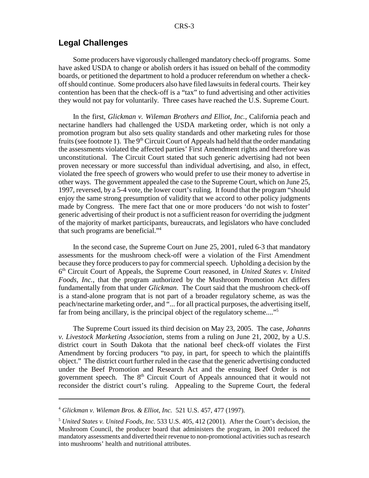### **Legal Challenges**

Some producers have vigorously challenged mandatory check-off programs. Some have asked USDA to change or abolish orders it has issued on behalf of the commodity boards, or petitioned the department to hold a producer referendum on whether a checkoff should continue. Some producers also have filed lawsuits in federal courts. Their key contention has been that the check-off is a "tax" to fund advertising and other activities they would not pay for voluntarily. Three cases have reached the U.S. Supreme Court.

In the first, *Glickman v. Wileman Brothers and Elliot, Inc.*, California peach and nectarine handlers had challenged the USDA marketing order, which is not only a promotion program but also sets quality standards and other marketing rules for those fruits (see footnote 1). The  $9<sup>th</sup>$  Circuit Court of Appeals had held that the order mandating the assessments violated the affected parties' First Amendment rights and therefore was unconstitutional. The Circuit Court stated that such generic advertising had not been proven necessary or more successful than individual advertising, and also, in effect, violated the free speech of growers who would prefer to use their money to advertise in other ways. The government appealed the case to the Supreme Court, which on June 25, 1997, reversed, by a 5-4 vote, the lower court's ruling. It found that the program "should enjoy the same strong presumption of validity that we accord to other policy judgments made by Congress. The mere fact that one or more producers 'do not wish to foster' generic advertising of their product is not a sufficient reason for overriding the judgment of the majority of market participants, bureaucrats, and legislators who have concluded that such programs are beneficial."4

In the second case, the Supreme Court on June 25, 2001, ruled 6-3 that mandatory assessments for the mushroom check-off were a violation of the First Amendment because they force producers to pay for commercial speech. Upholding a decision by the 6th Circuit Court of Appeals, the Supreme Court reasoned, in *United States v. United Foods, Inc.*, that the program authorized by the Mushroom Promotion Act differs fundamentally from that under *Glickman*. The Court said that the mushroom check-off is a stand-alone program that is not part of a broader regulatory scheme, as was the peach/nectarine marketing order, and "... for all practical purposes, the advertising itself, far from being ancillary, is the principal object of the regulatory scheme...."5

The Supreme Court issued its third decision on May 23, 2005. The case, *Johanns v. Livestock Marketing Association*, stems from a ruling on June 21, 2002, by a U.S. district court in South Dakota that the national beef check-off violates the First Amendment by forcing producers "to pay, in part, for speech to which the plaintiffs object." The district court further ruled in the case that the generic advertising conducted under the Beef Promotion and Research Act and the ensuing Beef Order is not government speech. The 8<sup>th</sup> Circuit Court of Appeals announced that it would not reconsider the district court's ruling. Appealing to the Supreme Court, the federal

<sup>4</sup> *Glickman v. Wileman Bros. & Elliot, Inc.* 521 U.S. 457, 477 (1997).

<sup>5</sup> *United States v. United Foods, Inc.* 533 U.S. 405, 412 (2001). After the Court's decision, the Mushroom Council, the producer board that administers the program, in 2001 reduced the mandatory assessments and diverted their revenue to non-promotional activities such as research into mushrooms' health and nutritional attributes.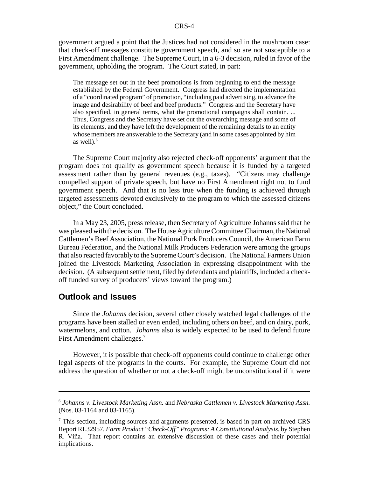government argued a point that the Justices had not considered in the mushroom case: that check-off messages constitute government speech, and so are not susceptible to a First Amendment challenge. The Supreme Court, in a 6-3 decision, ruled in favor of the government, upholding the program. The Court stated, in part:

The message set out in the beef promotions is from beginning to end the message established by the Federal Government. Congress had directed the implementation of a "coordinated program" of promotion, "including paid advertising, to advance the image and desirability of beef and beef products." Congress and the Secretary have also specified, in general terms, what the promotional campaigns shall contain. ... Thus, Congress and the Secretary have set out the overarching message and some of its elements, and they have left the development of the remaining details to an entity whose members are answerable to the Secretary (and in some cases appointed by him as well $)$ .<sup>6</sup>

The Supreme Court majority also rejected check-off opponents' argument that the program does not qualify as government speech because it is funded by a targeted assessment rather than by general revenues (e.g., taxes). "Citizens may challenge compelled support of private speech, but have no First Amendment right not to fund government speech. And that is no less true when the funding is achieved through targeted assessments devoted exclusively to the program to which the assessed citizens object," the Court concluded.

In a May 23, 2005, press release, then Secretary of Agriculture Johanns said that he was pleased with the decision. The House Agriculture Committee Chairman, the National Cattlemen's Beef Association, the National Pork Producers Council, the American Farm Bureau Federation, and the National Milk Producers Federation were among the groups that also reacted favorably to the Supreme Court's decision. The National Farmers Union joined the Livestock Marketing Association in expressing disappointment with the decision. (A subsequent settlement, filed by defendants and plaintiffs, included a checkoff funded survey of producers' views toward the program.)

## **Outlook and Issues**

Since the *Johanns* decision, several other closely watched legal challenges of the programs have been stalled or even ended, including others on beef, and on dairy, pork, watermelons, and cotton. *Johanns* also is widely expected to be used to defend future First Amendment challenges.<sup>7</sup>

However, it is possible that check-off opponents could continue to challenge other legal aspects of the programs in the courts. For example, the Supreme Court did not address the question of whether or not a check-off might be unconstitutional if it were

<sup>6</sup> *Johanns v. Livestock Marketing Assn.* and *Nebraska Cattlemen v. Livestock Marketing Assn.* (Nos. 03-1164 and 03-1165).

<sup>&</sup>lt;sup>7</sup> This section, including sources and arguments presented, is based in part on archived CRS Report RL32957, *Farm Product "Check-Off" Programs: A Constitutional Analysis*, by Stephen R. Viña. That report contains an extensive discussion of these cases and their potential implications.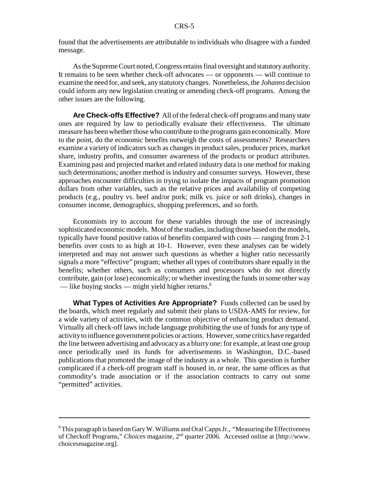found that the advertisements are attributable to individuals who disagree with a funded message.

As the Supreme Court noted, Congress retains final oversight and statutory authority. It remains to be seen whether check-off advocates — or opponents — will continue to examine the need for, and seek, any statutory changes. Nonetheless, the *Johanns* decision could inform any new legislation creating or amending check-off programs. Among the other issues are the following.

**Are Check-offs Effective?** All of the federal check-off programs and many state ones are required by law to periodically evaluate their effectiveness. The ultimate measure has been whether those who contribute to the programs gain economically. More to the point, do the economic benefits outweigh the costs of assessments? Researchers examine a variety of indicators such as changes in product sales, producer prices, market share, industry profits, and consumer awareness of the products or product attributes. Examining past and projected market and related industry data is one method for making such determinations; another method is industry and consumer surveys. However, these approaches encounter difficulties in trying to isolate the impacts of program promotion dollars from other variables, such as the relative prices and availability of competing products (e.g., poultry vs. beef and/or pork; milk vs. juice or soft drinks), changes in consumer income, demographics, shopping preferences, and so forth.

Economists try to account for these variables through the use of increasingly sophisticated economic models. Most of the studies, including those based on the models, typically have found positive ratios of benefits compared with costs — ranging from 2-1 benefits over costs to as high at 10-1. However, even these analyses can be widely interpreted and may not answer such questions as whether a higher ratio necessarily signals a more "effective" program; whether all types of contributors share equally in the benefits; whether others, such as consumers and processors who do not directly contribute, gain (or lose) economically; or whether investing the funds in some other way — like buying stocks — might yield higher returns. $8$ 

**What Types of Activities Are Appropriate?** Funds collected can be used by the boards, which meet regularly and submit their plans to USDA-AMS for review, for a wide variety of activities, with the common objective of enhancing product demand. Virtually all check-off laws include language prohibiting the use of funds for any type of activity to influence government policies or actions. However, some critics have regarded the line between advertising and advocacy as a blurry one: for example, at least one group once periodically used its funds for advertisements in Washington, D.C.-based publications that promoted the image of the industry as a whole. This question is further complicated if a check-off program staff is housed in, or near, the same offices as that commodity's trade association or if the association contracts to carry out some "permitted" activities.

 $8$  This paragraph is based on Gary W. Williams and Oral Capps Jr., "Measuring the Effectiveness of Checkoff Programs," *Choices* magazine, 2nd quarter 2006. Accessed online at [http://www. choicesmagazine.org].